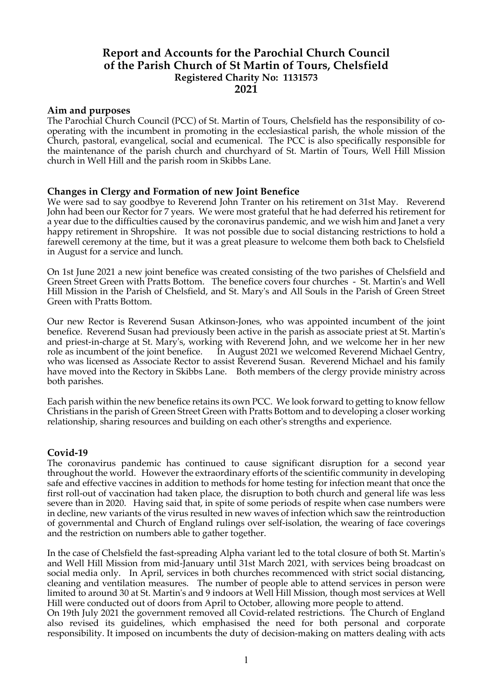# **Report and Accounts for the Parochial Church Council of the Parish Church of St Martin of Tours, Chelsfield Registered Charity No: 1131573 2021**

# **Aim and purposes**

The Parochial Church Council (PCC) of St. Martin of Tours, Chelsfield has the responsibility of cooperating with the incumbent in promoting in the ecclesiastical parish, the whole mission of the Church, pastoral, evangelical, social and ecumenical. The PCC is also specifically responsible for the maintenance of the parish church and churchyard of St. Martin of Tours, Well Hill Mission church in Well Hill and the parish room in Skibbs Lane.

## **Changes in Clergy and Formation of new Joint Benefice**

We were sad to say goodbye to Reverend John Tranter on his retirement on 31st May. Reverend John had been our Rector for 7 years. We were most grateful that he had deferred his retirement for a year due to the difficulties caused by the coronavirus pandemic, and we wish him and Janet a very happy retirement in Shropshire. It was not possible due to social distancing restrictions to hold a farewell ceremony at the time, but it was a great pleasure to welcome them both back to Chelsfield in August for a service and lunch.

On 1st June 2021 a new joint benefice was created consisting of the two parishes of Chelsfield and Green Street Green with Pratts Bottom. The benefice covers four churches - St. Martin's and Well Hill Mission in the Parish of Chelsfield, and St. Mary's and All Souls in the Parish of Green Street Green with Pratts Bottom.

Our new Rector is Reverend Susan Atkinson-Jones, who was appointed incumbent of the joint benefice. Reverend Susan had previously been active in the parish as associate priest at St. Martin's and priest-in-charge at St. Mary's, working with Reverend John, and we welcome her in her new role as incumbent of the joint benefice. In August 2021 we welcomed Reverend Michael Gentry, who was licensed as Associate Rector to assist Reverend Susan. Reverend Michael and his family have moved into the Rectory in Skibbs Lane. Both members of the clergy provide ministry across both parishes.

Each parish within the new benefice retains its own PCC. We look forward to getting to know fellow Christians in the parish of Green Street Green with Pratts Bottom and to developing a closer working relationship, sharing resources and building on each other's strengths and experience.

# **Covid-19**

The coronavirus pandemic has continued to cause significant disruption for a second year throughout the world. However the extraordinary efforts of the scientific community in developing safe and effective vaccines in addition to methods for home testing for infection meant that once the first roll-out of vaccination had taken place, the disruption to both church and general life was less severe than in 2020. Having said that, in spite of some periods of respite when case numbers were in decline, new variants of the virus resulted in new waves of infection which saw the reintroduction of governmental and Church of England rulings over self-isolation, the wearing of face coverings and the restriction on numbers able to gather together.

In the case of Chelsfield the fast-spreading Alpha variant led to the total closure of both St. Martin's and Well Hill Mission from mid-January until 31st March 2021, with services being broadcast on social media only. In April, services in both churches recommenced with strict social distancing, cleaning and ventilation measures. The number of people able to attend services in person were limited to around 30 at St. Martin's and 9 indoors at Well Hill Mission, though most services at Well Hill were conducted out of doors from April to October, allowing more people to attend.

On 19th July 2021 the government removed all Covid-related restrictions. The Church of England also revised its guidelines, which emphasised the need for both personal and corporate responsibility. It imposed on incumbents the duty of decision-making on matters dealing with acts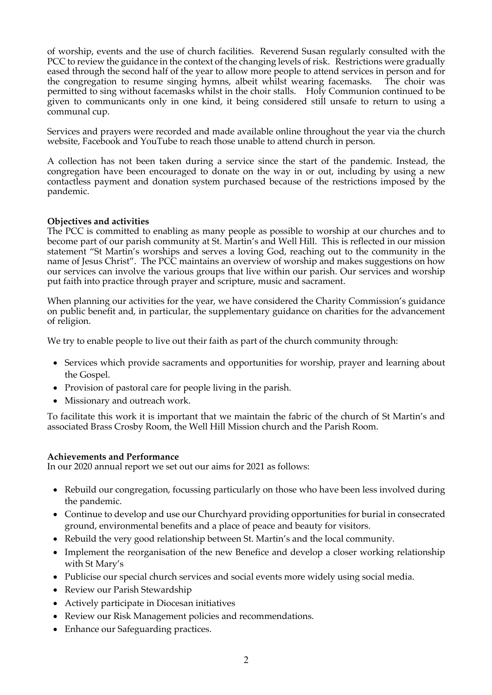of worship, events and the use of church facilities. Reverend Susan regularly consulted with the PCC to review the guidance in the context of the changing levels of risk. Restrictions were gradually eased through the second half of the year to allow more people to attend services in person and for the congregation to resume singing hymns, albeit whilst wearing facemasks. The choir was permitted to sing without facemasks whilst in the choir stalls. Holy Communion continued to be given to communicants only in one kind, it being considered still unsafe to return to using a communal cup.

Services and prayers were recorded and made available online throughout the year via the church website, Facebook and YouTube to reach those unable to attend church in person.

A collection has not been taken during a service since the start of the pandemic. Instead, the congregation have been encouraged to donate on the way in or out, including by using a new contactless payment and donation system purchased because of the restrictions imposed by the pandemic.

# **Objectives and activities**

The PCC is committed to enabling as many people as possible to worship at our churches and to become part of our parish community at St. Martin's and Well Hill. This is reflected in our mission statement "St Martin's worships and serves a loving God, reaching out to the community in the name of Jesus Christ". The PCC maintains an overview of worship and makes suggestions on how our services can involve the various groups that live within our parish. Our services and worship put faith into practice through prayer and scripture, music and sacrament.

When planning our activities for the year, we have considered the Charity Commission's guidance on public benefit and, in particular, the supplementary guidance on charities for the advancement of religion.

We try to enable people to live out their faith as part of the church community through:

- Services which provide sacraments and opportunities for worship, prayer and learning about the Gospel.
- Provision of pastoral care for people living in the parish.
- Missionary and outreach work.

To facilitate this work it is important that we maintain the fabric of the church of St Martin's and associated Brass Crosby Room, the Well Hill Mission church and the Parish Room.

#### **Achievements and Performance**

In our 2020 annual report we set out our aims for 2021 as follows:

- Rebuild our congregation, focussing particularly on those who have been less involved during the pandemic.
- Continue to develop and use our Churchyard providing opportunities for burial in consecrated ground, environmental benefits and a place of peace and beauty for visitors.
- Rebuild the very good relationship between St. Martin's and the local community.
- Implement the reorganisation of the new Benefice and develop a closer working relationship with St Mary's
- Publicise our special church services and social events more widely using social media.
- Review our Parish Stewardship
- Actively participate in Diocesan initiatives
- Review our Risk Management policies and recommendations.
- Enhance our Safeguarding practices.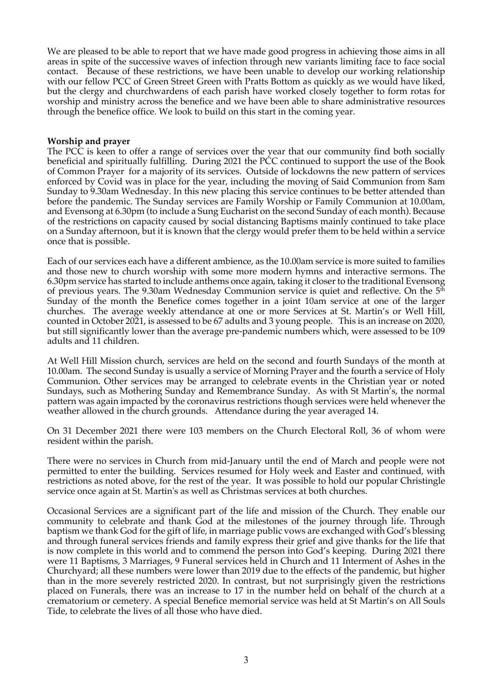We are pleased to be able to report that we have made good progress in achieving those aims in all areas in spite of the successive waves of infection through new variants limiting face to face social contact. Because of these restrictions, we have been unable to develop our working relationship with our fellow PCC of Green Street Green with Pratts Bottom as quickly as we would have liked, but the clergy and churchwardens of each parish have worked closely together to form rotas for worship and ministry across the benefice and we have been able to share administrative resources through the benefice office. We look to build on this start in the coming year.

#### **Worship and prayer**

The PCC is keen to offer a range of services over the year that our community find both socially beneficial and spiritually fulfilling. During 2021 the PCC continued to support the use of the Book of Common Prayer for a majority of its services. Outside of lockdowns the new pattern of services enforced by Covid was in place for the year, including the moving of Said Communion from 8am Sunday to 9.30am Wednesday. In this new placing this service continues to be better attended than before the pandemic. The Sunday services are Family Worship or Family Communion at 10.00am, and Evensong at 6.30pm (to include a Sung Eucharist on the second Sunday of each month). Because of the restrictions on capacity caused by social distancing Baptisms mainly continued to take place on a Sunday afternoon, but it is known that the clergy would prefer them to be held within a service once that is possible.

Each of our services each have a different ambience, as the 10.00am service is more suited to families and those new to church worship with some more modern hymns and interactive sermons. The 6.30pm service has started to include anthems once again, taking it closer to the traditional Evensong of previous years. The 9.30am Wednesday Communion service is quiet and reflective. On the  $5<sup>th</sup>$ Sunday of the month the Benefice comes together in a joint 10am service at one of the larger churches. The average weekly attendance at one or more Services at St. Martin's or Well Hill, counted in October 2021, is assessed to be 67 adults and 3 young people. This is an increase on 2020, but still significantly lower than the average pre-pandemic numbers which, were assessed to be 109 adults and 11 children.

At Well Hill Mission church, services are held on the second and fourth Sundays of the month at 10.00am. The second Sunday is usually a service of Morning Prayer and the fourth a service of Holy Communion. Other services may be arranged to celebrate events in the Christian year or noted Sundays, such as Mothering Sunday and Remembrance Sunday. As with St Martin's, the normal pattern was again impacted by the coronavirus restrictions though services were held whenever the weather allowed in the church grounds. Attendance during the year averaged 14.

On 31 December 2021 there were 103 members on the Church Electoral Roll, 36 of whom were resident within the parish.

There were no services in Church from mid-January until the end of March and people were not permitted to enter the building. Services resumed for Holy week and Easter and continued, with restrictions as noted above, for the rest of the year. It was possible to hold our popular Christingle service once again at St. Martin's as well as Christmas services at both churches.

Occasional Services are a significant part of the life and mission of the Church. They enable our community to celebrate and thank God at the milestones of the journey through life. Through baptism we thank God for the gift of life, in marriage public vows are exchanged with God's blessing and through funeral services friends and family express their grief and give thanks for the life that is now complete in this world and to commend the person into God's keeping. During 2021 there were 11 Baptisms, 3 Marriages, 9 Funeral services held in Church and 11 Interment of Ashes in the Churchyard; all these numbers were lower than 2019 due to the effects of the pandemic, but higher than in the more severely restricted 2020. In contrast, but not surprisingly given the restrictions placed on Funerals, there was an increase to 17 in the number held on behalf of the church at a crematorium or cemetery. A special Benefice memorial service was held at St Martin's on All Souls Tide, to celebrate the lives of all those who have died.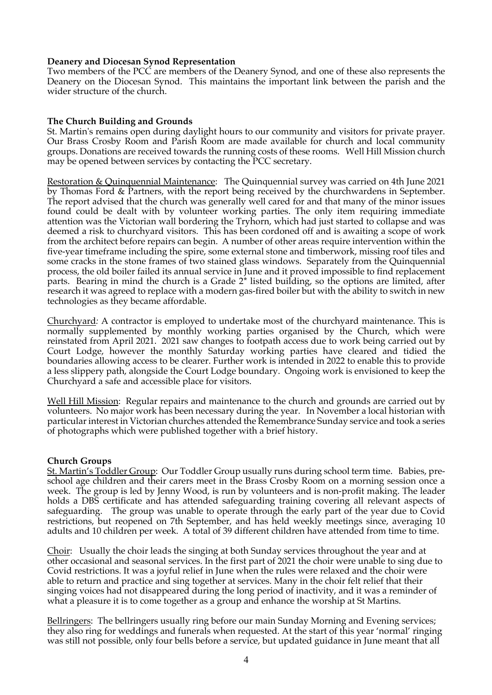#### **Deanery and Diocesan Synod Representation**

Two members of the PCC are members of the Deanery Synod, and one of these also represents the Deanery on the Diocesan Synod. This maintains the important link between the parish and the wider structure of the church.

# **The Church Building and Grounds**

St. Martin's remains open during daylight hours to our community and visitors for private prayer. Our Brass Crosby Room and Parish Room are made available for church and local community groups. Donations are received towards the running costs of these rooms. Well Hill Mission church may be opened between services by contacting the PCC secretary.

Restoration & Quinquennial Maintenance:The Quinquennial survey was carried on 4th June 2021 by Thomas Ford & Partners, with the report being received by the churchwardens in September. The report advised that the church was generally well cared for and that many of the minor issues found could be dealt with by volunteer working parties. The only item requiring immediate attention was the Victorian wall bordering the Tryhorn, which had just started to collapse and was deemed a risk to churchyard visitors. This has been cordoned off and is awaiting a scope of work from the architect before repairs can begin. A number of other areas require intervention within the five-year timeframe including the spire, some external stone and timberwork, missing roof tiles and some cracks in the stone frames of two stained glass windows. Separately from the Quinquennial process, the old boiler failed its annual service in June and it proved impossible to find replacement parts. Bearing in mind the church is a Grade 2\* listed building, so the options are limited, after research it was agreed to replace with a modern gas-fired boiler but with the ability to switch in new technologies as they became affordable.

Churchyard*:* A contractor is employed to undertake most of the churchyard maintenance. This is normally supplemented by monthly working parties organised by the Church, which were reinstated from April 2021. 2021 saw changes to footpath access due to work being carried out by Court Lodge, however the monthly Saturday working parties have cleared and tidied the boundaries allowing access to be clearer. Further work is intended in 2022 to enable this to provide a less slippery path, alongside the Court Lodge boundary. Ongoing work is envisioned to keep the Churchyard a safe and accessible place for visitors.

Well Hill Mission: Regular repairs and maintenance to the church and grounds are carried out by volunteers. No major work has been necessary during the year. In November a local historian with particular interest in Victorian churches attended the Remembrance Sunday service and took a series of photographs which were published together with a brief history.

# **Church Groups**

St. Martin's Toddler Group: Our Toddler Group usually runs during school term time. Babies, preschool age children and their carers meet in the Brass Crosby Room on a morning session once a week. The group is led by Jenny Wood, is run by volunteers and is non-profit making. The leader holds a DBS certificate and has attended safeguarding training covering all relevant aspects of safeguarding. The group was unable to operate through the early part of the year due to Covid restrictions, but reopened on 7th September, and has held weekly meetings since, averaging 10 adults and 10 children per week. A total of 39 different children have attended from time to time.

Choir: Usually the choir leads the singing at both Sunday services throughout the year and at other occasional and seasonal services. In the first part of 2021 the choir were unable to sing due to Covid restrictions. It was a joyful relief in June when the rules were relaxed and the choir were able to return and practice and sing together at services. Many in the choir felt relief that their singing voices had not disappeared during the long period of inactivity, and it was a reminder of what a pleasure it is to come together as a group and enhance the worship at St Martins.

Bellringers: The bellringers usually ring before our main Sunday Morning and Evening services; they also ring for weddings and funerals when requested. At the start of this year 'normal' ringing was still not possible, only four bells before a service, but updated guidance in June meant that all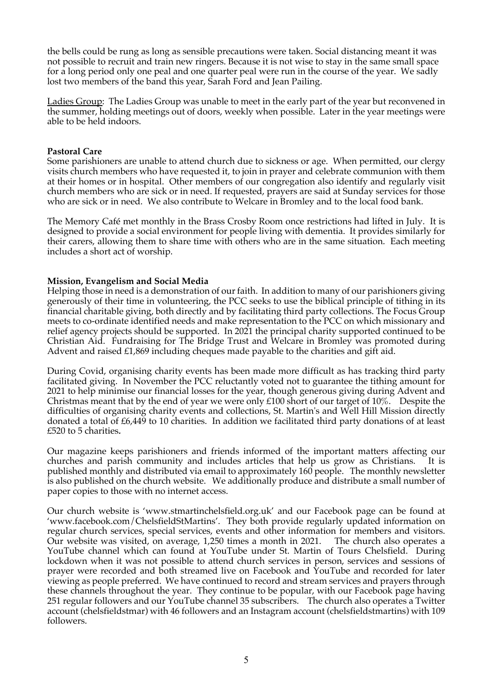the bells could be rung as long as sensible precautions were taken. Social distancing meant it was not possible to recruit and train new ringers. Because it is not wise to stay in the same small space for a long period only one peal and one quarter peal were run in the course of the year. We sadly lost two members of the band this year, Sarah Ford and Jean Pailing.

Ladies Group:The Ladies Group was unable to meet in the early part of the year but reconvened in the summer, holding meetings out of doors, weekly when possible. Later in the year meetings were able to be held indoors.

## **Pastoral Care**

Some parishioners are unable to attend church due to sickness or age. When permitted, our clergy visits church members who have requested it, to join in prayer and celebrate communion with them at their homes or in hospital. Other members of our congregation also identify and regularly visit church members who are sick or in need. If requested, prayers are said at Sunday services for those who are sick or in need. We also contribute to Welcare in Bromley and to the local food bank.

The Memory Café met monthly in the Brass Crosby Room once restrictions had lifted in July. It is designed to provide a social environment for people living with dementia. It provides similarly for their carers, allowing them to share time with others who are in the same situation. Each meeting includes a short act of worship.

## **Mission, Evangelism and Social Media**

Helping those in need is a demonstration of our faith. In addition to many of our parishioners giving generously of their time in volunteering, the PCC seeks to use the biblical principle of tithing in its financial charitable giving, both directly and by facilitating third party collections. The Focus Group meets to co-ordinate identified needs and make representation to the PCC on which missionary and relief agency projects should be supported. In 2021 the principal charity supported continued to be Christian Aid. Fundraising for The Bridge Trust and Welcare in Bromley was promoted during Advent and raised £1,869 including cheques made payable to the charities and gift aid.

During Covid, organising charity events has been made more difficult as has tracking third party facilitated giving. In November the PCC reluctantly voted not to guarantee the tithing amount for 2021 to help minimise our financial losses for the year, though generous giving during Advent and Christmas meant that by the end of year we were only £100 short of our target of 10%. Despite the difficulties of organising charity events and collections, St. Martin's and Well Hill Mission directly donated a total of £6,449 to 10 charities. In addition we facilitated third party donations of at least £520 to 5 charities.

Our magazine keeps parishioners and friends informed of the important matters affecting our churches and parish community and includes articles that help us grow as Christians. It is published monthly and distributed via email to approximately 160 people. The monthly newsletter is also published on the church website. We additionally produce and distribute a small number of paper copies to those with no internet access.

Our church website is 'www.stmartinchelsfield.org.uk' and our Facebook page can be found at 'www.facebook.com/ChelsfieldStMartins'. They both provide regularly updated information on regular church services, special services, events and other information for members and visitors. Our website was visited, on average, 1,250 times a month in 2021. The church also operates a YouTube channel which can found at YouTube under St. Martin of Tours Chelsfield. During lockdown when it was not possible to attend church services in person, services and sessions of prayer were recorded and both streamed live on Facebook and YouTube and recorded for later viewing as people preferred. We have continued to record and stream services and prayers through these channels throughout the year. They continue to be popular, with our Facebook page having 251 regular followers and our YouTube channel 35 subscribers. The church also operates a Twitter account (chelsfieldstmar) with 46 followers and an Instagram account (chelsfieldstmartins) with 109 followers.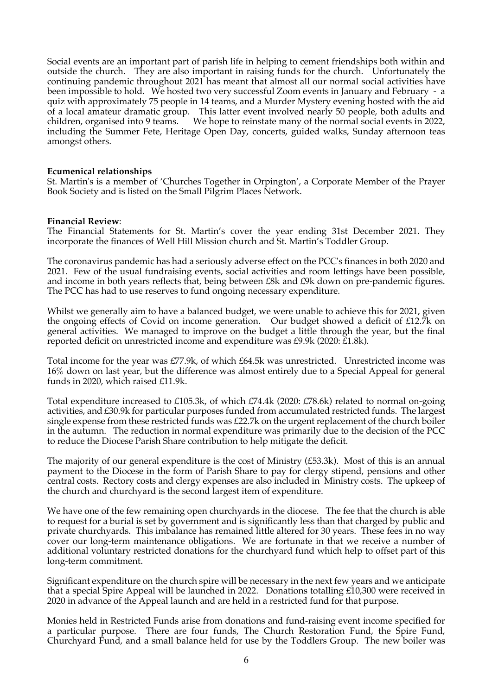Social events are an important part of parish life in helping to cement friendships both within and outside the church. They are also important in raising funds for the church. Unfortunately the continuing pandemic throughout 2021 has meant that almost all our normal social activities have been impossible to hold. We hosted two very successful Zoom events in January and February - a quiz with approximately 75 people in 14 teams, and a Murder Mystery evening hosted with the aid of a local amateur dramatic group. This latter event involved nearly 50 people, both adults and children, organised into 9 teams. We hope to reinstate many of the normal social events in 2022, including the Summer Fete, Heritage Open Day, concerts, guided walks, Sunday afternoon teas amongst others.

#### **Ecumenical relationships**

St. Martin's is a member of 'Churches Together in Orpington', a Corporate Member of the Prayer Book Society and is listed on the Small Pilgrim Places Network.

#### **Financial Review**:

The Financial Statements for St. Martin's cover the year ending 31st December 2021. They incorporate the finances of Well Hill Mission church and St. Martin's Toddler Group.

The coronavirus pandemic has had a seriously adverse effect on the PCC's finances in both 2020 and 2021. Few of the usual fundraising events, social activities and room lettings have been possible, and income in both years reflects that, being between £8k and £9k down on pre-pandemic figures. The PCC has had to use reserves to fund ongoing necessary expenditure.

Whilst we generally aim to have a balanced budget, we were unable to achieve this for 2021, given the ongoing effects of Covid on income generation. Our budget showed a deficit of £12.7k on general activities. We managed to improve on the budget a little through the year, but the final reported deficit on unrestricted income and expenditure was £9.9k (2020: £1.8k).

Total income for the year was £77.9k, of which £64.5k was unrestricted. Unrestricted income was 16% down on last year, but the difference was almost entirely due to a Special Appeal for general funds in 2020, which raised £11.9k.

Total expenditure increased to £105.3k, of which £74.4k (2020: £78.6k) related to normal on-going activities, and £30.9k for particular purposes funded from accumulated restricted funds. The largest single expense from these restricted funds was £22.7k on the urgent replacement of the church boiler in the autumn. The reduction in normal expenditure was primarily due to the decision of the PCC to reduce the Diocese Parish Share contribution to help mitigate the deficit.

The majority of our general expenditure is the cost of Ministry  $(£53.3k)$ . Most of this is an annual payment to the Diocese in the form of Parish Share to pay for clergy stipend, pensions and other central costs. Rectory costs and clergy expenses are also included in Ministry costs. The upkeep of the church and churchyard is the second largest item of expenditure.

We have one of the few remaining open churchyards in the diocese. The fee that the church is able to request for a burial is set by government and is significantly less than that charged by public and private churchyards. This imbalance has remained little altered for 30 years. These fees in no way cover our long-term maintenance obligations. We are fortunate in that we receive a number of additional voluntary restricted donations for the churchyard fund which help to offset part of this long-term commitment.

Significant expenditure on the church spire will be necessary in the next few years and we anticipate that a special Spire Appeal will be launched in 2022. Donations totalling £10,300 were received in 2020 in advance of the Appeal launch and are held in a restricted fund for that purpose.

Monies held in Restricted Funds arise from donations and fund-raising event income specified for a particular purpose. There are four funds, The Church Restoration Fund, the Spire Fund, Churchyard Fund, and a small balance held for use by the Toddlers Group. The new boiler was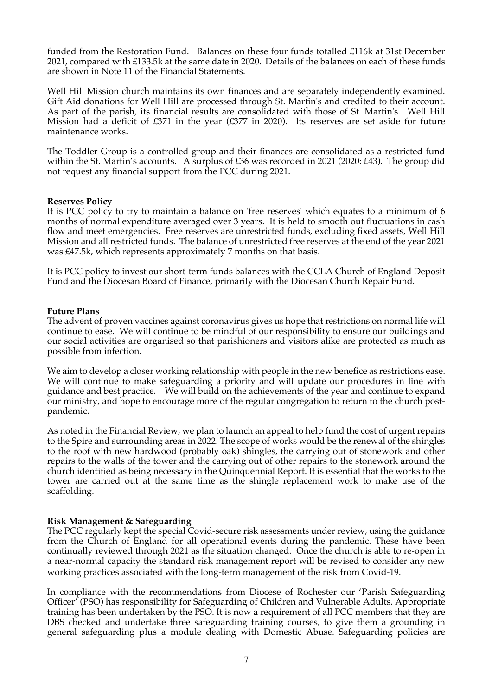funded from the Restoration Fund. Balances on these four funds totalled £116k at 31st December 2021, compared with £133.5k at the same date in 2020. Details of the balances on each of these funds are shown in Note 11 of the Financial Statements.

Well Hill Mission church maintains its own finances and are separately independently examined. Gift Aid donations for Well Hill are processed through St. Martin's and credited to their account. As part of the parish, its financial results are consolidated with those of St. Martin's. Well Hill Mission had a deficit of £371 in the year (£377 in 2020). Its reserves are set aside for future maintenance works.

The Toddler Group is a controlled group and their finances are consolidated as a restricted fund within the St. Martin's accounts. A surplus of  $\text{\pounds}36$  was recorded in 2021 (2020:  $\text{\pounds}43$ ). The group did not request any financial support from the PCC during 2021.

#### **Reserves Policy**

It is PCC policy to try to maintain a balance on 'free reserves' which equates to a minimum of 6 months of normal expenditure averaged over 3 years. It is held to smooth out fluctuations in cash flow and meet emergencies. Free reserves are unrestricted funds, excluding fixed assets, Well Hill Mission and all restricted funds. The balance of unrestricted free reserves at the end of the year 2021 was £47.5k, which represents approximately 7 months on that basis.

It is PCC policy to invest our short-term funds balances with the CCLA Church of England Deposit Fund and the Diocesan Board of Finance, primarily with the Diocesan Church Repair Fund.

## **Future Plans**

The advent of proven vaccines against coronavirus gives us hope that restrictions on normal life will continue to ease. We will continue to be mindful of our responsibility to ensure our buildings and our social activities are organised so that parishioners and visitors alike are protected as much as possible from infection.

We aim to develop a closer working relationship with people in the new benefice as restrictions ease. We will continue to make safeguarding a priority and will update our procedures in line with guidance and best practice. We will build on the achievements of the year and continue to expand our ministry, and hope to encourage more of the regular congregation to return to the church postpandemic.

As noted in the Financial Review, we plan to launch an appeal to help fund the cost of urgent repairs to the Spire and surrounding areas in 2022. The scope of works would be the renewal of the shingles to the roof with new hardwood (probably oak) shingles, the carrying out of stonework and other repairs to the walls of the tower and the carrying out of other repairs to the stonework around the church identified as being necessary in the Quinquennial Report. It is essential that the works to the tower are carried out at the same time as the shingle replacement work to make use of the scaffolding.

#### **Risk Management & Safeguarding**

The PCC regularly kept the special Covid-secure risk assessments under review, using the guidance from the Church of England for all operational events during the pandemic. These have been continually reviewed through 2021 as the situation changed. Once the church is able to re-open in a near-normal capacity the standard risk management report will be revised to consider any new working practices associated with the long-term management of the risk from Covid-19.

In compliance with the recommendations from Diocese of Rochester our 'Parish Safeguarding Officer' (PSO) has responsibility for Safeguarding of Children and Vulnerable Adults. Appropriate training has been undertaken by the PSO. It is now a requirement of all PCC members that they are DBS checked and undertake three safeguarding training courses, to give them a grounding in general safeguarding plus a module dealing with Domestic Abuse. Safeguarding policies are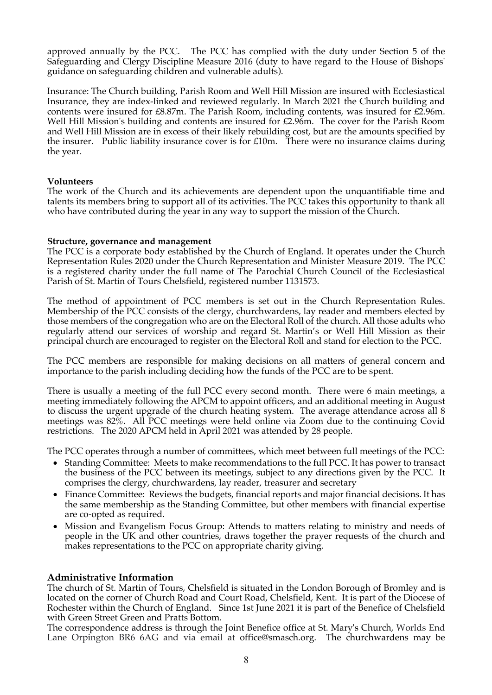approved annually by the PCC. The PCC has complied with the duty under Section 5 of the Safeguarding and Clergy Discipline Measure 2016 (duty to have regard to the House of Bishops' guidance on safeguarding children and vulnerable adults).

Insurance: The Church building, Parish Room and Well Hill Mission are insured with Ecclesiastical Insurance, they are index-linked and reviewed regularly. In March 2021 the Church building and contents were insured for £8.87m. The Parish Room, including contents, was insured for £2.96m. Well Hill Mission's building and contents are insured for £2.96m. The cover for the Parish Room and Well Hill Mission are in excess of their likely rebuilding cost, but are the amounts specified by the insurer. Public liability insurance cover is for  $E10m$ . There were no insurance claims during the year.

## **Volunteers**

The work of the Church and its achievements are dependent upon the unquantifiable time and talents its members bring to support all of its activities. The PCC takes this opportunity to thank all who have contributed during the year in any way to support the mission of the Church.

## **Structure, governance and management**

The PCC is a corporate body established by the Church of England. It operates under the Church Representation Rules 2020 under the Church Representation and Minister Measure 2019. The PCC is a registered charity under the full name of The Parochial Church Council of the Ecclesiastical Parish of St. Martin of Tours Chelsfield, registered number 1131573.

The method of appointment of PCC members is set out in the Church Representation Rules. Membership of the PCC consists of the clergy, churchwardens, lay reader and members elected by those members of the congregation who are on the Electoral Roll of the church. All those adults who regularly attend our services of worship and regard St. Martin's or Well Hill Mission as their principal church are encouraged to register on the Electoral Roll and stand for election to the PCC.

The PCC members are responsible for making decisions on all matters of general concern and importance to the parish including deciding how the funds of the PCC are to be spent.

There is usually a meeting of the full PCC every second month. There were 6 main meetings, a meeting immediately following the APCM to appoint officers, and an additional meeting in August to discuss the urgent upgrade of the church heating system. The average attendance across all 8 meetings was 82%. All PCC meetings were held online via Zoom due to the continuing Covid restrictions. The 2020 APCM held in April 2021 was attended by 28 people.

The PCC operates through a number of committees, which meet between full meetings of the PCC:

- Standing Committee: Meets to make recommendations to the full PCC. It has power to transact the business of the PCC between its meetings, subject to any directions given by the PCC. It comprises the clergy, churchwardens, lay reader, treasurer and secretary
- Finance Committee: Reviews the budgets, financial reports and major financial decisions. It has the same membership as the Standing Committee, but other members with financial expertise are co-opted as required.
- Mission and Evangelism Focus Group: Attends to matters relating to ministry and needs of people in the UK and other countries, draws together the prayer requests of the church and makes representations to the PCC on appropriate charity giving.

# **Administrative Information**

The church of St. Martin of Tours, Chelsfield is situated in the London Borough of Bromley and is located on the corner of Church Road and Court Road, Chelsfield, Kent. It is part of the Diocese of Rochester within the Church of England. Since 1st June 2021 it is part of the Benefice of Chelsfield with Green Street Green and Pratts Bottom.

The correspondence address is through the Joint Benefice office at St. Mary's Church, Worlds End Lane Orpington BR6 6AG and via email at office@smasch.org. The churchwardens may be